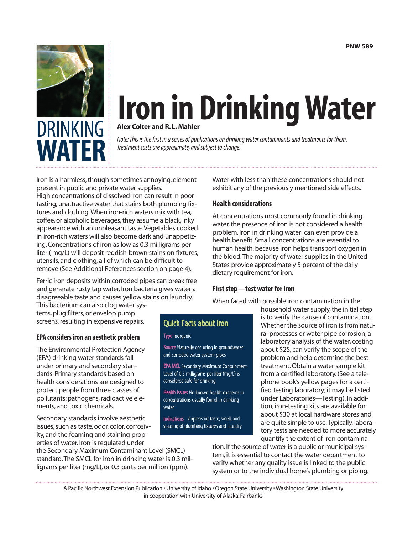**PNW 589**



# **Iron in Drinking Water**

**Alex Colter and R. L. Mahler** 

*Note: This is the first in a series of publications on drinking water contaminants and treatments for them. Treatment costs are approximate, and subject to change.*

Iron is a harmless, though sometimes annoying, element present in public and private water supplies. High concentrations of dissolved iron can result in poor tasting, unattractive water that stains both plumbing fixtures and clothing.When iron-rich waters mix with tea, coffee, or alcoholic beverages, they assume a black, inky appearance with an unpleasant taste.Vegetables cooked in iron-rich waters will also become dark and unappetizing. Concentrations of iron as low as 0.3 milligrams per liter ( mg/L) will deposit reddish-brown stains on fixtures, utensils, and clothing, all of which can be difficult to remove (See Additional References section on page 4).

Ferric iron deposits within corroded pipes can break free and generate rusty tap water. Iron bacteria gives water a disagreeable taste and causes yellow stains on laundry.

This bacterium can also clog water systems, plug filters, or envelop pump screens, resulting in expensive repairs.

#### **EPA considers iron an aesthetic problem**

The Environmental Protection Agency (EPA) drinking water standards fall under primary and secondary standards. Primary standards based on health considerations are designed to protect people from three classes of pollutants: pathogens, radioactive elements, and toxic chemicals.

Secondary standards involve aesthetic issues, such as taste, odor, color, corrosivity, and the foaming and staining properties of water. Iron is regulated under

the Secondary Maximum Contaminant Level (SMCL) standard.The SMCL for iron in drinking water is 0.3 milligrams per liter (mg/L), or 0.3 parts per million (ppm).

Water with less than these concentrations should not exhibit any of the previously mentioned side effects.

#### **Health considerations**

At concentrations most commonly found in drinking water, the presence of iron is not considered a health problem. Iron in drinking water can even provide a health benefit. Small concentrations are essential to human health, because iron helps transport oxygen in the blood.The majority of water supplies in the United States provide approximately 5 percent of the daily dietary requirement for iron.

#### **First step—test water for iron**

When faced with possible iron contamination in the

household water supply, the initial step is to verify the cause of contamination. Whether the source of iron is from natural processes or water pipe corrosion, a laboratory analysis of the water, costing about \$25, can verify the scope of the problem and help determine the best treatment. Obtain a water sample kit from a certified laboratory. (See a telephone book's yellow pages for a certified testing laboratory; it may be listed under Laboratories—Testing). In addition, iron-testing kits are available for about \$30 at local hardware stores and are quite simple to use.Typically, laboratory tests are needed to more accurately quantify the extent of iron contamina-

tion. If the source of water is a public or municipal system, it is essential to contact the water department to verify whether any quality issue is linked to the public system or to the individual home's plumbing or piping.

A Pacific Northwest Extension Publication • University of Idaho • Oregon State University • Washington State University in cooperation with University of Alaska, Fairbanks

### Quick Facts about Iron

Type Inorganic

Source Naturally occurring in groundwater and corroded water system pipes

EPA MCL Secondary Maximum Containment Level of 0.3 milligrams per liter (mg/L) is considered safe for drinking.

Health Issues No known health concerns in concentrations usually found in drinking water

Indications Unpleasant taste, smell, and staining of plumbing fixtures and laundry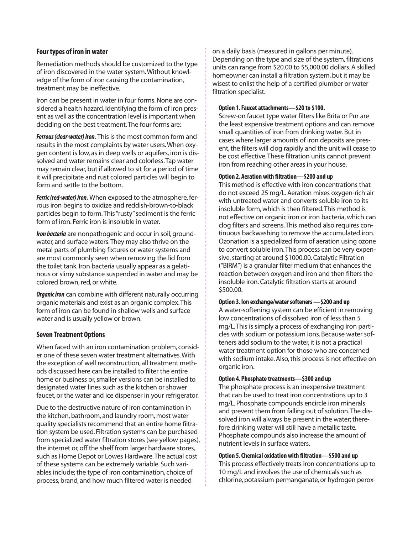#### **Four types of iron in water**

Remediation methods should be customized to the type of iron discovered in the water system.Without knowledge of the form of iron causing the contamination, treatment may be ineffective.

Iron can be present in water in four forms. None are considered a health hazard. Identifying the form of iron present as well as the concentration level is important when deciding on the best treatment.The four forms are:

*Ferrous (clear-water) iron.* This is the most common form and results in the most complaints by water users.When oxygen content is low, as in deep wells or aquifers, iron is dissolved and water remains clear and colorless.Tap water may remain clear, but if allowed to sit for a period of time it will precipitate and rust colored particles will begin to form and settle to the bottom.

*Ferric (red-water) iron.* When exposed to the atmosphere, ferrous iron begins to oxidize and reddish-brown-to-black particles begin to form.This "rusty"sediment is the ferric form of iron. Ferric iron is insoluble in water.

*Iron bacteria* are nonpathogenic and occur in soil, groundwater, and surface waters.They may also thrive on the metal parts of plumbing fixtures or water systems and are most commonly seen when removing the lid from the toilet tank. Iron bacteria usually appear as a gelatinous or slimy substance suspended in water and may be colored brown, red, or white.

*Organic iron* can combine with different naturally occurring organic materials and exist as an organic complex.This form of iron can be found in shallow wells and surface water and is usually yellow or brown.

#### **Seven Treatment Options**

When faced with an iron contamination problem, consider one of these seven water treatment alternatives.With the exception of well reconstruction, all treatment methods discussed here can be installed to filter the entire home or business or, smaller versions can be installed to designated water lines such as the kitchen or shower faucet, or the water and ice dispenser in your refrigerator.

Due to the destructive nature of iron contamination in the kitchen, bathroom, and laundry room, most water quality specialists recommend that an entire home filtration system be used. Filtration systems can be purchased from specialized water filtration stores (see yellow pages), the internet or, off the shelf from larger hardware stores, such as Home Depot or Lowes Hardware.The actual cost of these systems can be extremely variable. Such variables include; the type of iron contamination, choice of process, brand, and how much filtered water is needed

on a daily basis (measured in gallons per minute). Depending on the type and size of the system, filtrations units can range from \$20.00 to \$5,000.00 dollars. A skilled homeowner can install a filtration system, but it may be wisest to enlist the help of a certified plumber or water filtration specialist.

#### **Option 1. Faucet attachments—\$20 to \$100.**

Screw-on faucet type water filters like Brita or Pur are the least expensive treatment options and can remove small quantities of iron from drinking water. But in cases where larger amounts of iron deposits are present, the filters will clog rapidly and the unit will cease to be cost effective.These filtration units cannot prevent iron from reaching other areas in your house.

#### **Option 2. Aeration with filtration—\$200 and up**

This method is effective with iron concentrations that do not exceed 25 mg/L. Aeration mixes oxygen-rich air with untreated water and converts soluble iron to its insoluble form, which is then filtered.This method is not effective on organic iron or iron bacteria, which can clog filters and screens.This method also requires continuous backwashing to remove the accumulated iron. Ozonation is a specialized form of aeration using ozone to convert soluble iron.This process can be very expensive, starting at around \$1000.00. Catalytic Filtration ("BIRM") is a granular filter medium that enhances the reaction between oxygen and iron and then filters the insoluble iron. Catalytic filtration starts at around \$500.00.

#### **Option 3. Ion exchange/water softeners —\$200 and up**

A water-softening system can be efficient in removing low concentrations of dissolved iron of less than 5 mg/L.This is simply a process of exchanging iron particles with sodium or potassium ions. Because water softeners add sodium to the water, it is not a practical water treatment option for those who are concerned with sodium intake. Also, this process is not effective on organic iron.

#### **Option 4. Phosphate treatments—\$300 and up**

The phosphate process is an inexpensive treatment that can be used to treat iron concentrations up to 3 mg/L. Phosphate compounds encircle iron minerals and prevent them from falling out of solution.The dissolved iron will always be present in the water; therefore drinking water will still have a metallic taste. Phosphate compounds also increase the amount of nutrient levels in surface waters.

#### **Option 5. Chemical oxidation with filtration—\$500 and up**

This process effectively treats iron concentrations up to 10 mg/L and involves the use of chemicals such as chlorine, potassium permanganate, or hydrogen perox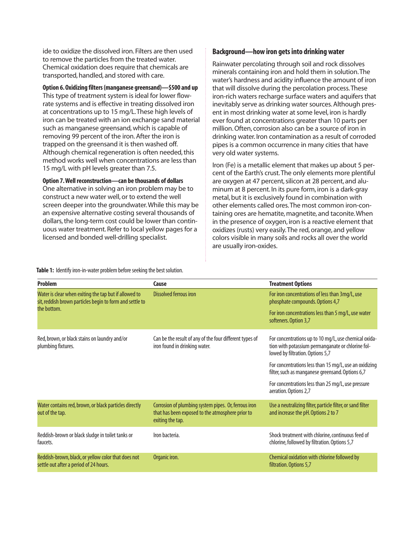ide to oxidize the dissolved iron. Filters are then used to remove the particles from the treated water. Chemical oxidation does require that chemicals are transported, handled, and stored with care.

**Option 6. Oxidizing filters (manganese greensand)—\$500 and up**

This type of treatment system is ideal for lower flowrate systems and is effective in treating dissolved iron at concentrations up to 15 mg/L.These high levels of iron can be treated with an ion exchange sand material such as manganese greensand, which is capable of removing 99 percent of the iron. After the iron is trapped on the greensand it is then washed off. Although chemical regeneration is often needed, this method works well when concentrations are less than 15 mg/L with pH levels greater than 7.5.

#### **Option 7. Well reconstruction—can be thousands of dollars**

One alternative in solving an iron problem may be to construct a new water well, or to extend the well screen deeper into the groundwater.While this may be an expensive alternative costing several thousands of dollars, the long-term cost could be lower than continuous water treatment. Refer to local yellow pages for a licensed and bonded well-drilling specialist.

#### **Background—how iron gets into drinking water**

Rainwater percolating through soil and rock dissolves minerals containing iron and hold them in solution.The water's hardness and acidity influence the amount of iron that will dissolve during the percolation process.These iron-rich waters recharge surface waters and aquifers that inevitably serve as drinking water sources. Although present in most drinking water at some level, iron is hardly ever found at concentrations greater than 10 parts per million. Often, corrosion also can be a source of iron in drinking water. Iron contamination as a result of corroded pipes is a common occurrence in many cities that have very old water systems.

Iron (Fe) is a metallic element that makes up about 5 percent of the Earth's crust.The only elements more plentiful are oxygen at 47 percent, silicon at 28 percent, and aluminum at 8 percent. In its pure form, iron is a dark-gray metal, but it is exclusively found in combination with other elements called ores.The most common iron-containing ores are hematite, magnetite, and taconite.When in the presence of oxygen, iron is a reactive element that oxidizes (rusts) very easily.The red, orange, and yellow colors visible in many soils and rocks all over the world are usually iron-oxides.

**Table 1:** Identify iron-in-water problem before seeking the best solution.

| <b>Problem</b>                                                                                                                   | Cause                                                                                                                        | <b>Treatment Options</b>                                                                                                                       |
|----------------------------------------------------------------------------------------------------------------------------------|------------------------------------------------------------------------------------------------------------------------------|------------------------------------------------------------------------------------------------------------------------------------------------|
| Water is clear when exiting the tap but if allowed to<br>sit, reddish brown particles begin to form and settle to<br>the bottom. | Dissolved ferrous iron                                                                                                       | For iron concentrations of less than 3mg/L, use<br>phosphate compounds. Options 4,7                                                            |
|                                                                                                                                  |                                                                                                                              | For iron concentrations less than 5 mg/L, use water<br>softeners. Option 3,7                                                                   |
| Red, brown, or black stains on laundry and/or<br>plumbing fixtures.                                                              | Can be the result of any of the four different types of<br>iron found in drinking water.                                     | For concentrations up to 10 mg/L, use chemical oxida-<br>tion with potassium permanganate or chlorine fol-<br>lowed by filtration. Options 5,7 |
|                                                                                                                                  |                                                                                                                              | For concentrations less than 15 mg/L, use an oxidizing<br>filter, such as manganese greensand. Options 6,7                                     |
|                                                                                                                                  |                                                                                                                              | For concentrations less than 25 mg/L, use pressure<br>aeration. Options 2,7                                                                    |
| Water contains red, brown, or black particles directly<br>out of the tap.                                                        | Corrosion of plumbing system pipes. Or, ferrous iron<br>that has been exposed to the atmosphere prior to<br>exiting the tap. | Use a neutralizing filter, particle filter, or sand filter<br>and increase the pH. Options 2 to 7                                              |
| Reddish-brown or black sludge in toilet tanks or<br>faucets.                                                                     | Iron bacteria.                                                                                                               | Shock treatment with chlorine, continuous feed of<br>chlorine, followed by filtration. Options 5,7                                             |
| Reddish-brown, black, or yellow color that does not<br>settle out after a period of 24 hours.                                    | Organic iron.                                                                                                                | Chemical oxidation with chlorine followed by<br>filtration. Options 5,7                                                                        |